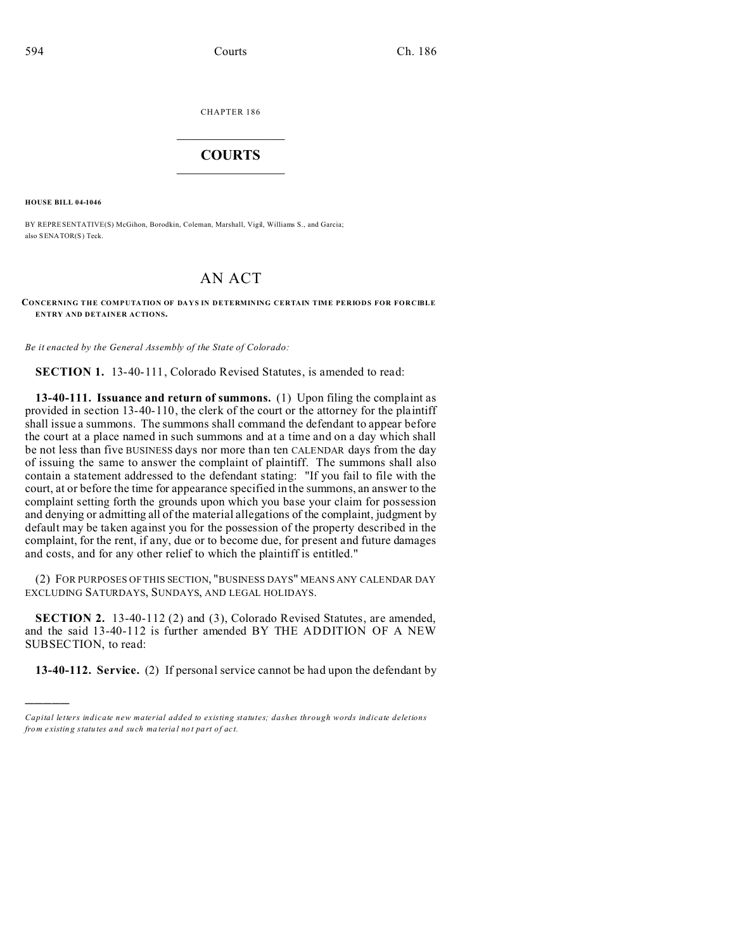CHAPTER 186  $\overline{\phantom{a}}$  , where  $\overline{\phantom{a}}$ 

## **COURTS**  $\_$

**HOUSE BILL 04-1046**

)))))

BY REPRESENTATIVE(S) McGihon, Borodkin, Coleman, Marshall, Vigil, Williams S., and Garcia; also SENATOR(S) Teck.

## AN ACT

## **CONCERNING THE COMPUTATION OF DAYS IN DETERMINING CERTAIN TIME PERIODS FOR FORCIBLE ENTRY AND DETAINER ACTIONS.**

*Be it enacted by the General Assembly of the State of Colorado:*

**SECTION 1.** 13-40-111, Colorado Revised Statutes, is amended to read:

**13-40-111. Issuance and return of summons.** (1) Upon filing the complaint as provided in section 13-40-110, the clerk of the court or the attorney for the plaintiff shall issue a summons. The summons shall command the defendant to appear before the court at a place named in such summons and at a time and on a day which shall be not less than five BUSINESS days nor more than ten CALENDAR days from the day of issuing the same to answer the complaint of plaintiff. The summons shall also contain a statement addressed to the defendant stating: "If you fail to file with the court, at or before the time for appearance specified in the summons, an answer to the complaint setting forth the grounds upon which you base your claim for possession and denying or admitting all of the material allegations of the complaint, judgment by default may be taken against you for the possession of the property described in the complaint, for the rent, if any, due or to become due, for present and future damages and costs, and for any other relief to which the plaintiff is entitled."

(2) FOR PURPOSES OF THIS SECTION, "BUSINESS DAYS" MEANS ANY CALENDAR DAY EXCLUDING SATURDAYS, SUNDAYS, AND LEGAL HOLIDAYS.

**SECTION 2.** 13-40-112 (2) and (3), Colorado Revised Statutes, are amended, and the said 13-40-112 is further amended BY THE ADDITION OF A NEW SUBSECTION, to read:

**13-40-112. Service.** (2) If personal service cannot be had upon the defendant by

*Capital letters indicate new material added to existing statutes; dashes through words indicate deletions from e xistin g statu tes a nd such ma teria l no t pa rt of ac t.*